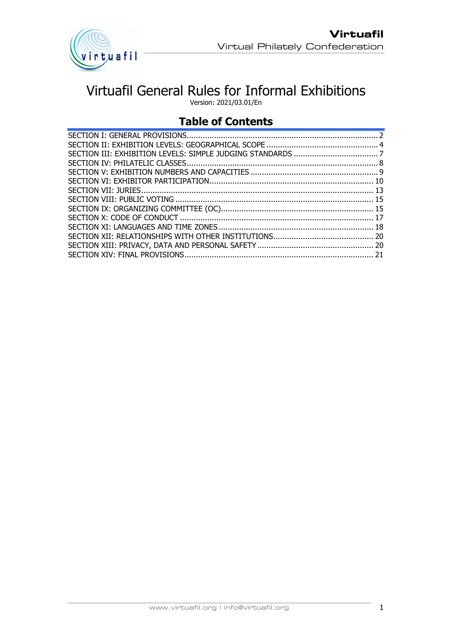

# Virtuafil General Rules for Informal Exhibitions

Version: 2021/03.01/En

# **Table of Contents**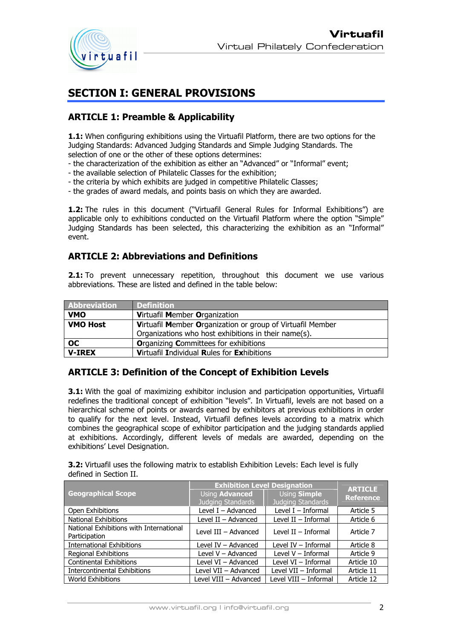

# **SECTION I: GENERAL PROVISIONS**

### **ARTICLE 1: Preamble & Applicability**

**1.1:** When configuring exhibitions using the Virtuafil Platform, there are two options for the Judging Standards: Advanced Judging Standards and Simple Judging Standards. The selection of one or the other of these options determines:

- the characterization of the exhibition as either an "Advanced" or "Informal" event;
- the available selection of Philatelic Classes for the exhibition;
- the criteria by which exhibits are judged in competitive Philatelic Classes;
- the grades of award medals, and points basis on which they are awarded.

**1.2:** The rules in this document ("Virtuafil General Rules for Informal Exhibitions") are applicable only to exhibitions conducted on the Virtuafil Platform where the option "Simple" Judging Standards has been selected, this characterizing the exhibition as an "Informal" event.

#### **ARTICLE 2: Abbreviations and Definitions**

**2.1:** To prevent unnecessary repetition, throughout this document we use various abbreviations. These are listed and defined in the table below:

| <b>Abbreviation</b> | <b>Definition</b>                                          |
|---------------------|------------------------------------------------------------|
| <b>VMO</b>          | Virtuafil Member Organization                              |
| <b>VMO Host</b>     | Virtuafil Member Organization or group of Virtuafil Member |
|                     | Organizations who host exhibitions in their name(s).       |
| OC.                 | <b>Organizing Committees for exhibitions</b>               |
| <b>V-IREX</b>       | Virtuafil Individual Rules for Exhibitions                 |

### **ARTICLE 3: Definition of the Concept of Exhibition Levels**

**3.1:** With the goal of maximizing exhibitor inclusion and participation opportunities, Virtuafil redefines the traditional concept of exhibition "levels". In Virtuafil, levels are not based on a hierarchical scheme of points or awards earned by exhibitors at previous exhibitions in order to qualify for the next level. Instead, Virtuafil defines levels according to a matrix which combines the geographical scope of exhibitor participation and the judging standards applied at exhibitions. Accordingly, different levels of medals are awarded, depending on the exhibitions' Level Designation.

**3.2:** Virtuafil uses the following matrix to establish Exhibition Levels: Each level is fully defined in Section II.

|                                                          | <b>Exhibition Level Designation</b>        | <b>ARTICLE</b>                    |                  |  |
|----------------------------------------------------------|--------------------------------------------|-----------------------------------|------------------|--|
| <b>Geographical Scope</b>                                | Using <b>Advanced</b><br>Judging Standards | Using Simple<br>Judging Standards | <b>Reference</b> |  |
| Open Exhibitions                                         | Level $I -$ Advanced                       | Level $I$ – Informal              | Article 5        |  |
| National Exhibitions                                     | Level $II -$ Advanced                      | Level $II$ – Informal             | Article 6        |  |
| National Exhibitions with International<br>Participation | Level III - Advanced                       | Level $II$ – Informal             | Article 7        |  |
| <b>International Exhibitions</b>                         | Level $IV - Advanced$                      | Level $IV$ – Informal             | Article 8        |  |
| <b>Regional Exhibitions</b>                              | Level V - Advanced                         | Level $V - Informal$              | Article 9        |  |
| <b>Continental Exhibitions</b>                           | Level $VI - Advanced$                      | Level VI - Informal               | Article 10       |  |
| <b>Intercontinental Exhibitions</b>                      | Level VII - Advanced                       | Level VII - Informal              | Article 11       |  |
| <b>World Exhibitions</b>                                 | Level VIII - Advanced                      | Level VIII - Informal             | Article 12       |  |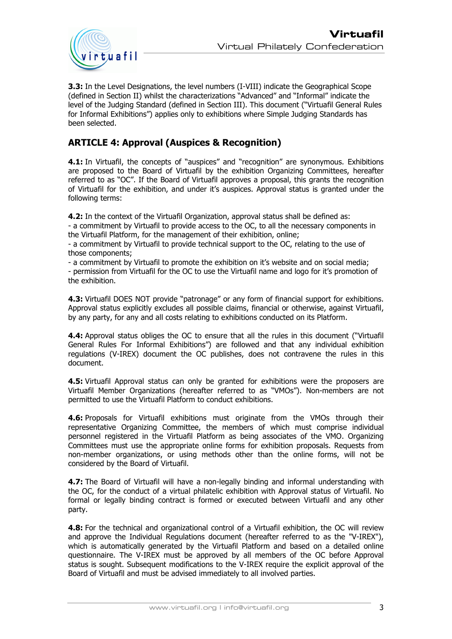

**3.3:** In the Level Designations, the level numbers (I-VIII) indicate the Geographical Scope (defined in Section II) whilst the characterizations "Advanced" and "Informal" indicate the level of the Judging Standard (defined in Section III). This document ("Virtuafil General Rules for Informal Exhibitions") applies only to exhibitions where Simple Judging Standards has been selected.

### **ARTICLE 4: Approval (Auspices & Recognition)**

**4.1:** In Virtuafil, the concepts of "auspices" and "recognition" are synonymous. Exhibitions are proposed to the Board of Virtuafil by the exhibition Organizing Committees, hereafter referred to as "OC". If the Board of Virtuafil approves a proposal, this grants the recognition of Virtuafil for the exhibition, and under it's auspices. Approval status is granted under the following terms:

**4.2:** In the context of the Virtuafil Organization, approval status shall be defined as:

- a commitment by Virtuafil to provide access to the OC, to all the necessary components in the Virtuafil Platform, for the management of their exhibition, online;

- a commitment by Virtuafil to provide technical support to the OC, relating to the use of those components;

- a commitment by Virtuafil to promote the exhibition on it's website and on social media; - permission from Virtuafil for the OC to use the Virtuafil name and logo for it's promotion of the exhibition.

**4.3:** Virtuafil DOES NOT provide "patronage" or any form of financial support for exhibitions. Approval status explicitly excludes all possible claims, financial or otherwise, against Virtuafil, by any party, for any and all costs relating to exhibitions conducted on its Platform.

**4.4:** Approval status obliges the OC to ensure that all the rules in this document ("Virtuafil General Rules For Informal Exhibitions") are followed and that any individual exhibition regulations (V-IREX) document the OC publishes, does not contravene the rules in this document.

**4.5:** Virtuafil Approval status can only be granted for exhibitions were the proposers are Virtuafil Member Organizations (hereafter referred to as "VMOs"). Non-members are not permitted to use the Virtuafil Platform to conduct exhibitions.

**4.6:** Proposals for Virtuafil exhibitions must originate from the VMOs through their representative Organizing Committee, the members of which must comprise individual personnel registered in the Virtuafil Platform as being associates of the VMO. Organizing Committees must use the appropriate online forms for exhibition proposals. Requests from non-member organizations, or using methods other than the online forms, will not be considered by the Board of Virtuafil.

**4.7:** The Board of Virtuafil will have a non-legally binding and informal understanding with the OC, for the conduct of a virtual philatelic exhibition with Approval status of Virtuafil. No formal or legally binding contract is formed or executed between Virtuafil and any other party.

**4.8:** For the technical and organizational control of a Virtuafil exhibition, the OC will review and approve the Individual Regulations document (hereafter referred to as the "V-IREX"), which is automatically generated by the Virtuafil Platform and based on a detailed online questionnaire. The V-IREX must be approved by all members of the OC before Approval status is sought. Subsequent modifications to the V-IREX require the explicit approval of the Board of Virtuafil and must be advised immediately to all involved parties.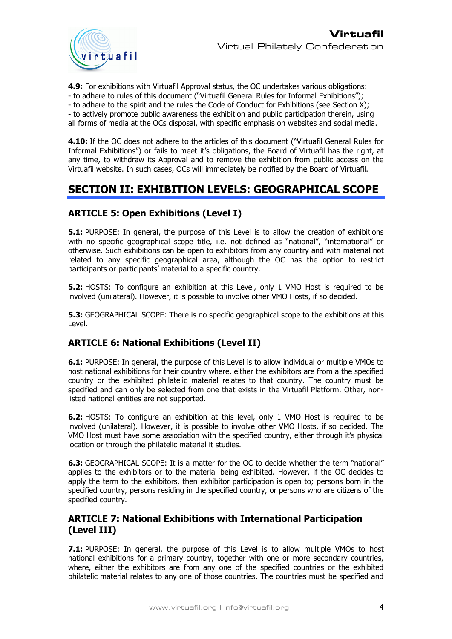

**4.9:** For exhibitions with Virtuafil Approval status, the OC undertakes various obligations:

- to adhere to rules of this document ("Virtuafil General Rules for Informal Exhibitions");

- to adhere to the spirit and the rules the Code of Conduct for Exhibitions (see Section X);

- to actively promote public awareness the exhibition and public participation therein, using all forms of media at the OCs disposal, with specific emphasis on websites and social media.

**4.10:** If the OC does not adhere to the articles of this document ("Virtuafil General Rules for Informal Exhibitions") or fails to meet it's obligations, the Board of Virtuafil has the right, at any time, to withdraw its Approval and to remove the exhibition from public access on the Virtuafil website. In such cases, OCs will immediately be notified by the Board of Virtuafil.

# **SECTION II: EXHIBITION LEVELS: GEOGRAPHICAL SCOPE**

### **ARTICLE 5: Open Exhibitions (Level I)**

**5.1:** PURPOSE: In general, the purpose of this Level is to allow the creation of exhibitions with no specific geographical scope title, i.e. not defined as "national", "international" or otherwise. Such exhibitions can be open to exhibitors from any country and with material not related to any specific geographical area, although the OC has the option to restrict participants or participants' material to a specific country.

**5.2:** HOSTS: To configure an exhibition at this Level, only 1 VMO Host is required to be involved (unilateral). However, it is possible to involve other VMO Hosts, if so decided.

**5.3:** GEOGRAPHICAL SCOPE: There is no specific geographical scope to the exhibitions at this Level.

### **ARTICLE 6: National Exhibitions (Level II)**

**6.1:** PURPOSE: In general, the purpose of this Level is to allow individual or multiple VMOs to host national exhibitions for their country where, either the exhibitors are from a the specified country or the exhibited philatelic material relates to that country. The country must be specified and can only be selected from one that exists in the Virtuafil Platform. Other, nonlisted national entities are not supported.

**6.2:** HOSTS: To configure an exhibition at this level, only 1 VMO Host is required to be involved (unilateral). However, it is possible to involve other VMO Hosts, if so decided. The VMO Host must have some association with the specified country, either through it's physical location or through the philatelic material it studies.

**6.3:** GEOGRAPHICAL SCOPE: It is a matter for the OC to decide whether the term "national" applies to the exhibitors or to the material being exhibited. However, if the OC decides to apply the term to the exhibitors, then exhibitor participation is open to; persons born in the specified country, persons residing in the specified country, or persons who are citizens of the specified country.

#### **ARTICLE 7: National Exhibitions with International Participation (Level III)**

**7.1:** PURPOSE: In general, the purpose of this Level is to allow multiple VMOs to host national exhibitions for a primary country, together with one or more secondary countries, where, either the exhibitors are from any one of the specified countries or the exhibited philatelic material relates to any one of those countries. The countries must be specified and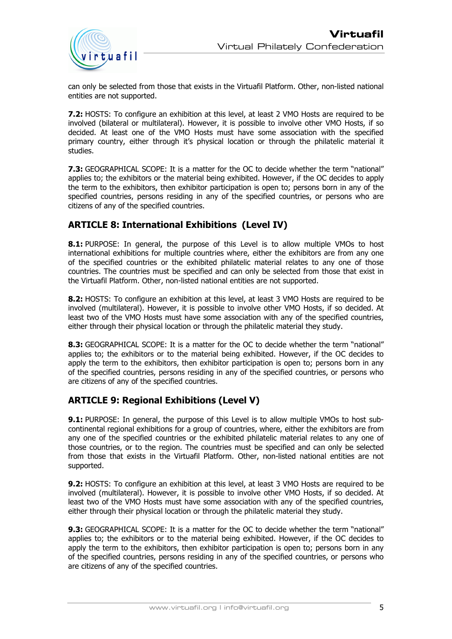

can only be selected from those that exists in the Virtuafil Platform. Other, non-listed national entities are not supported.

**7.2:** HOSTS: To configure an exhibition at this level, at least 2 VMO Hosts are required to be involved (bilateral or multilateral). However, it is possible to involve other VMO Hosts, if so decided. At least one of the VMO Hosts must have some association with the specified primary country, either through it's physical location or through the philatelic material it studies.

**7.3:** GEOGRAPHICAL SCOPE: It is a matter for the OC to decide whether the term "national" applies to; the exhibitors or the material being exhibited. However, if the OC decides to apply the term to the exhibitors, then exhibitor participation is open to; persons born in any of the specified countries, persons residing in any of the specified countries, or persons who are citizens of any of the specified countries.

### **ARTICLE 8: International Exhibitions (Level IV)**

**8.1:** PURPOSE: In general, the purpose of this Level is to allow multiple VMOs to host international exhibitions for multiple countries where, either the exhibitors are from any one of the specified countries or the exhibited philatelic material relates to any one of those countries. The countries must be specified and can only be selected from those that exist in the Virtuafil Platform. Other, non-listed national entities are not supported.

**8.2:** HOSTS: To configure an exhibition at this level, at least 3 VMO Hosts are required to be involved (multilateral). However, it is possible to involve other VMO Hosts, if so decided. At least two of the VMO Hosts must have some association with any of the specified countries, either through their physical location or through the philatelic material they study.

**8.3:** GEOGRAPHICAL SCOPE: It is a matter for the OC to decide whether the term "national" applies to; the exhibitors or to the material being exhibited. However, if the OC decides to apply the term to the exhibitors, then exhibitor participation is open to; persons born in any of the specified countries, persons residing in any of the specified countries, or persons who are citizens of any of the specified countries.

### **ARTICLE 9: Regional Exhibitions (Level V)**

**9.1:** PURPOSE: In general, the purpose of this Level is to allow multiple VMOs to host subcontinental regional exhibitions for a group of countries, where, either the exhibitors are from any one of the specified countries or the exhibited philatelic material relates to any one of those countries, or to the region. The countries must be specified and can only be selected from those that exists in the Virtuafil Platform. Other, non-listed national entities are not supported.

**9.2:** HOSTS: To configure an exhibition at this level, at least 3 VMO Hosts are required to be involved (multilateral). However, it is possible to involve other VMO Hosts, if so decided. At least two of the VMO Hosts must have some association with any of the specified countries, either through their physical location or through the philatelic material they study.

**9.3:** GEOGRAPHICAL SCOPE: It is a matter for the OC to decide whether the term "national" applies to; the exhibitors or to the material being exhibited. However, if the OC decides to apply the term to the exhibitors, then exhibitor participation is open to; persons born in any of the specified countries, persons residing in any of the specified countries, or persons who are citizens of any of the specified countries.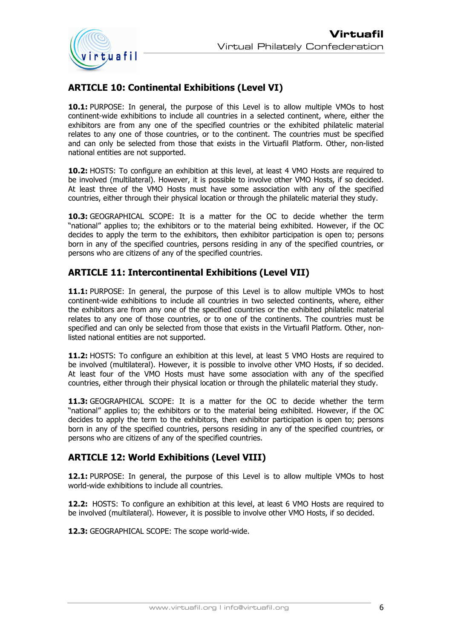

# **ARTICLE 10: Continental Exhibitions (Level VI)**

**10.1:** PURPOSE: In general, the purpose of this Level is to allow multiple VMOs to host continent-wide exhibitions to include all countries in a selected continent, where, either the exhibitors are from any one of the specified countries or the exhibited philatelic material relates to any one of those countries, or to the continent. The countries must be specified and can only be selected from those that exists in the Virtuafil Platform. Other, non-listed national entities are not supported.

**10.2:** HOSTS: To configure an exhibition at this level, at least 4 VMO Hosts are required to be involved (multilateral). However, it is possible to involve other VMO Hosts, if so decided. At least three of the VMO Hosts must have some association with any of the specified countries, either through their physical location or through the philatelic material they study.

**10.3:** GEOGRAPHICAL SCOPE: It is a matter for the OC to decide whether the term "national" applies to; the exhibitors or to the material being exhibited. However, if the OC decides to apply the term to the exhibitors, then exhibitor participation is open to; persons born in any of the specified countries, persons residing in any of the specified countries, or persons who are citizens of any of the specified countries.

### **ARTICLE 11: Intercontinental Exhibitions (Level VII)**

**11.1:** PURPOSE: In general, the purpose of this Level is to allow multiple VMOs to host continent-wide exhibitions to include all countries in two selected continents, where, either the exhibitors are from any one of the specified countries or the exhibited philatelic material relates to any one of those countries, or to one of the continents. The countries must be specified and can only be selected from those that exists in the Virtuafil Platform. Other, nonlisted national entities are not supported.

**11.2:** HOSTS: To configure an exhibition at this level, at least 5 VMO Hosts are required to be involved (multilateral). However, it is possible to involve other VMO Hosts, if so decided. At least four of the VMO Hosts must have some association with any of the specified countries, either through their physical location or through the philatelic material they study.

**11.3:** GEOGRAPHICAL SCOPE: It is a matter for the OC to decide whether the term "national" applies to; the exhibitors or to the material being exhibited. However, if the OC decides to apply the term to the exhibitors, then exhibitor participation is open to; persons born in any of the specified countries, persons residing in any of the specified countries, or persons who are citizens of any of the specified countries.

### **ARTICLE 12: World Exhibitions (Level VIII)**

**12.1:** PURPOSE: In general, the purpose of this Level is to allow multiple VMOs to host world-wide exhibitions to include all countries.

**12.2:** HOSTS: To configure an exhibition at this level, at least 6 VMO Hosts are required to be involved (multilateral). However, it is possible to involve other VMO Hosts, if so decided.

**12.3:** GEOGRAPHICAL SCOPE: The scope world-wide.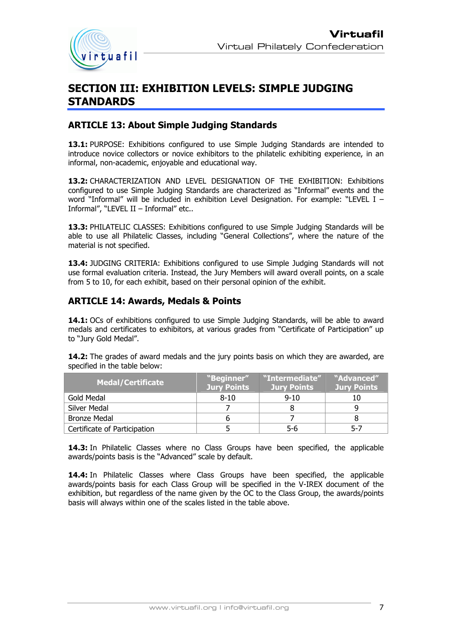

# **SECTION III: EXHIBITION LEVELS: SIMPLE JUDGING STANDARDS**

#### **ARTICLE 13: About Simple Judging Standards**

**13.1:** PURPOSE: Exhibitions configured to use Simple Judging Standards are intended to introduce novice collectors or novice exhibitors to the philatelic exhibiting experience, in an informal, non-academic, enjoyable and educational way.

**13.2:** CHARACTERIZATION AND LEVEL DESIGNATION OF THE EXHIBITION: Exhibitions configured to use Simple Judging Standards are characterized as "Informal" events and the word "Informal" will be included in exhibition Level Designation. For example: "LEVEL I – Informal", "LEVEL II – Informal" etc..

**13.3:** PHILATELIC CLASSES: Exhibitions configured to use Simple Judging Standards will be able to use all Philatelic Classes, including "General Collections", where the nature of the material is not specified.

**13.4:** JUDGING CRITERIA: Exhibitions configured to use Simple Judging Standards will not use formal evaluation criteria. Instead, the Jury Members will award overall points, on a scale from 5 to 10, for each exhibit, based on their personal opinion of the exhibit.

#### **ARTICLE 14: Awards, Medals & Points**

**14.1:** OCs of exhibitions configured to use Simple Judging Standards, will be able to award medals and certificates to exhibitors, at various grades from "Certificate of Participation" up to "Jury Gold Medal".

**14.2:** The grades of award medals and the jury points basis on which they are awarded, are specified in the table below:

| <b>Medal/Certificate</b>     | "Beginner"<br><b>Jury Points</b> | "Intermediate"<br>Jury Points | "Advanced"<br>Jury Points |
|------------------------------|----------------------------------|-------------------------------|---------------------------|
| Gold Medal                   | $8 - 10$                         | $9 - 10$                      |                           |
| Silver Medal                 |                                  |                               |                           |
| <b>Bronze Medal</b>          |                                  |                               |                           |
| Certificate of Participation |                                  | 5-6                           | 5-7                       |

**14.3:** In Philatelic Classes where no Class Groups have been specified, the applicable awards/points basis is the "Advanced" scale by default.

**14.4:** In Philatelic Classes where Class Groups have been specified, the applicable awards/points basis for each Class Group will be specified in the V-IREX document of the exhibition, but regardless of the name given by the OC to the Class Group, the awards/points basis will always within one of the scales listed in the table above.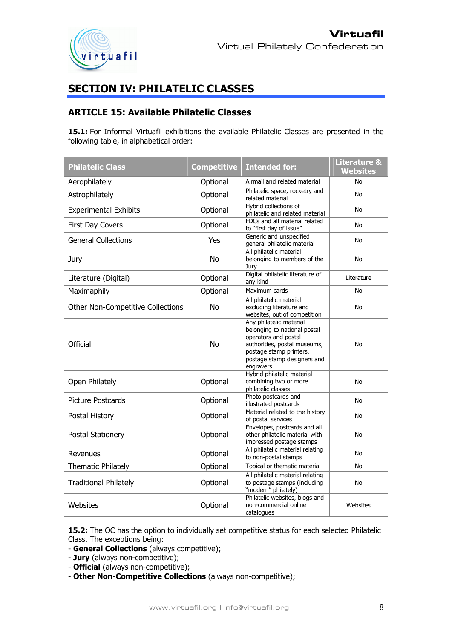

# **SECTION IV: PHILATELIC CLASSES**

### **ARTICLE 15: Available Philatelic Classes**

**15.1:** For Informal Virtuafil exhibitions the available Philatelic Classes are presented in the following table, in alphabetical order:

| <b>Philatelic Class</b>           | <b>Competitive</b><br><b>Intended for:</b> |                                                                                                                                                                                        | <b>Literature &amp;</b><br><b>Websites</b> |
|-----------------------------------|--------------------------------------------|----------------------------------------------------------------------------------------------------------------------------------------------------------------------------------------|--------------------------------------------|
| Aerophilately                     | Optional<br>Airmail and related material   |                                                                                                                                                                                        | No                                         |
| Astrophilately                    | Optional                                   | Philatelic space, rocketry and<br>related material                                                                                                                                     | No                                         |
| <b>Experimental Exhibits</b>      | Optional                                   | Hybrid collections of<br>philatelic and related material                                                                                                                               | No                                         |
| First Day Covers                  | Optional                                   | FDCs and all material related<br>to "first day of issue"                                                                                                                               | <b>No</b>                                  |
| <b>General Collections</b>        | Yes                                        | Generic and unspecified<br>general philatelic material                                                                                                                                 | No                                         |
| Jury                              | No                                         | All philatelic material<br>belonging to members of the<br>Jury                                                                                                                         | No                                         |
| Literature (Digital)              | Optional                                   | Digital philatelic literature of<br>any kind                                                                                                                                           | Literature                                 |
| Maximaphily                       | Optional                                   | Maximum cards                                                                                                                                                                          | No                                         |
| Other Non-Competitive Collections | <b>No</b>                                  | All philatelic material<br>excluding literature and<br>websites, out of competition                                                                                                    | No                                         |
| Official                          | <b>No</b>                                  | Any philatelic material<br>belonging to national postal<br>operators and postal<br>authorities, postal museums,<br>postage stamp printers,<br>postage stamp designers and<br>engravers | <b>No</b>                                  |
| Open Philately                    | Optional                                   | Hybrid philatelic material<br>combining two or more<br>philatelic classes                                                                                                              | No                                         |
| <b>Picture Postcards</b>          | Optional                                   | Photo postcards and<br>illustrated postcards                                                                                                                                           | No                                         |
| Postal History                    | Optional                                   | Material related to the history<br>of postal services                                                                                                                                  | No                                         |
| Postal Stationery                 | Optional                                   | Envelopes, postcards and all<br>other philatelic material with<br>impressed postage stamps                                                                                             | No                                         |
| Revenues                          | Optional                                   | All philatelic material relating<br>to non-postal stamps                                                                                                                               | No                                         |
| <b>Thematic Philately</b>         | Optional                                   | Topical or thematic material                                                                                                                                                           | No                                         |
| <b>Traditional Philately</b>      | Optional                                   | All philatelic material relating<br>to postage stamps (including<br>"modern" philately)                                                                                                | No                                         |
| Websites                          | Optional                                   | Philatelic websites, blogs and<br>non-commercial online<br>catalogues                                                                                                                  | Websites                                   |

15.2: The OC has the option to individually set competitive status for each selected Philatelic Class. The exceptions being:

- **General Collections** (always competitive);
- **Jury** (always non-competitive);
- **Official** (always non-competitive);
- **Other Non-Competitive Collections** (always non-competitive);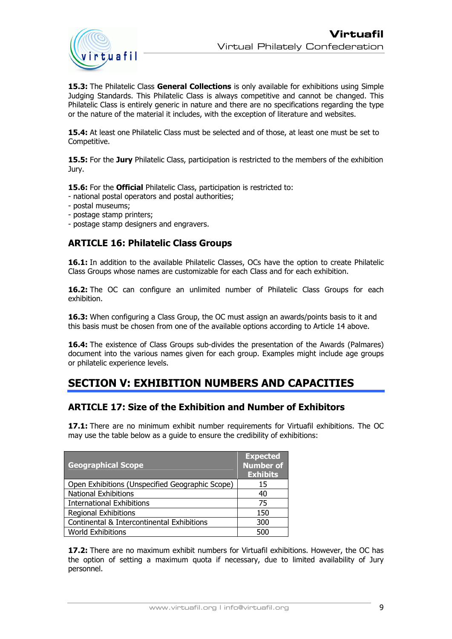

**15.3:** The Philatelic Class **General Collections** is only available for exhibitions using Simple Judging Standards. This Philatelic Class is always competitive and cannot be changed. This Philatelic Class is entirely generic in nature and there are no specifications regarding the type or the nature of the material it includes, with the exception of literature and websites.

**15.4:** At least one Philatelic Class must be selected and of those, at least one must be set to Competitive.

**15.5:** For the **Jury** Philatelic Class, participation is restricted to the members of the exhibition Jury.

**15.6:** For the **Official** Philatelic Class, participation is restricted to:

- national postal operators and postal authorities;
- postal museums;
- postage stamp printers;
- postage stamp designers and engravers.

#### **ARTICLE 16: Philatelic Class Groups**

**16.1:** In addition to the available Philatelic Classes, OCs have the option to create Philatelic Class Groups whose names are customizable for each Class and for each exhibition.

**16.2:** The OC can configure an unlimited number of Philatelic Class Groups for each exhibition.

**16.3:** When configuring a Class Group, the OC must assign an awards/points basis to it and this basis must be chosen from one of the available options according to Article 14 above.

16.4: The existence of Class Groups sub-divides the presentation of the Awards (Palmares) document into the various names given for each group. Examples might include age groups or philatelic experience levels.

# **SECTION V: EXHIBITION NUMBERS AND CAPACITIES**

#### **ARTICLE 17: Size of the Exhibition and Number of Exhibitors**

**17.1:** There are no minimum exhibit number requirements for Virtuafil exhibitions. The OC may use the table below as a guide to ensure the credibility of exhibitions:

| <b>Geographical Scope</b>                       | <b>Expected</b><br><b>Number of</b><br><b>Exhibits</b> |
|-------------------------------------------------|--------------------------------------------------------|
| Open Exhibitions (Unspecified Geographic Scope) | 15                                                     |
| <b>National Exhibitions</b>                     | 40                                                     |
| <b>International Exhibitions</b>                | 75                                                     |
| <b>Regional Exhibitions</b>                     | 150                                                    |
| Continental & Intercontinental Exhibitions      | 300                                                    |
| <b>World Exhibitions</b>                        | 500                                                    |

**17.2:** There are no maximum exhibit numbers for Virtuafil exhibitions. However, the OC has the option of setting a maximum quota if necessary, due to limited availability of Jury personnel.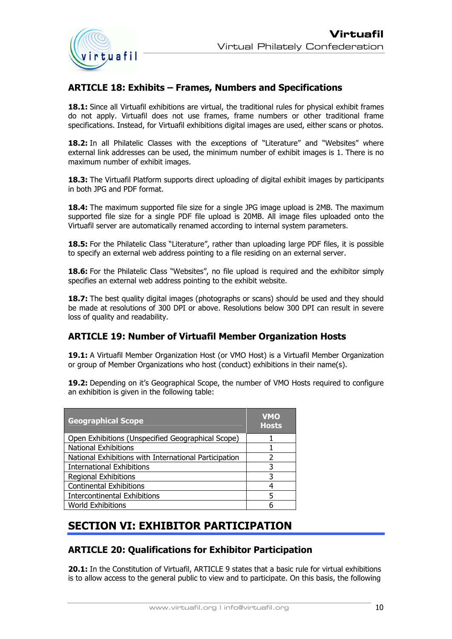

### **ARTICLE 18: Exhibits – Frames, Numbers and Specifications**

**18.1:** Since all Virtuafil exhibitions are virtual, the traditional rules for physical exhibit frames do not apply. Virtuafil does not use frames, frame numbers or other traditional frame specifications. Instead, for Virtuafil exhibitions digital images are used, either scans or photos.

**18.2:** In all Philatelic Classes with the exceptions of "Literature" and "Websites" where external link addresses can be used, the minimum number of exhibit images is 1. There is no maximum number of exhibit images.

**18.3:** The Virtuafil Platform supports direct uploading of digital exhibit images by participants in both JPG and PDF format.

**18.4:** The maximum supported file size for a single JPG image upload is 2MB. The maximum supported file size for a single PDF file upload is 20MB. All image files uploaded onto the Virtuafil server are automatically renamed according to internal system parameters.

**18.5:** For the Philatelic Class "Literature", rather than uploading large PDF files, it is possible to specify an external web address pointing to a file residing on an external server.

**18.6:** For the Philatelic Class "Websites", no file upload is required and the exhibitor simply specifies an external web address pointing to the exhibit website.

**18.7:** The best quality digital images (photographs or scans) should be used and they should be made at resolutions of 300 DPI or above. Resolutions below 300 DPI can result in severe loss of quality and readability.

#### **ARTICLE 19: Number of Virtuafil Member Organization Hosts**

**19.1:** A Virtuafil Member Organization Host (or VMO Host) is a Virtuafil Member Organization or group of Member Organizations who host (conduct) exhibitions in their name(s).

**19.2:** Depending on it's Geographical Scope, the number of VMO Hosts required to configure an exhibition is given in the following table:

| <b>Geographical Scope</b>                             | <b>VMO</b><br><b>Hosts</b> |
|-------------------------------------------------------|----------------------------|
| Open Exhibitions (Unspecified Geographical Scope)     |                            |
| <b>National Exhibitions</b>                           |                            |
| National Exhibitions with International Participation | 2                          |
| <b>International Exhibitions</b>                      | 3                          |
| <b>Regional Exhibitions</b>                           | 3                          |
| <b>Continental Exhibitions</b>                        |                            |
| <b>Intercontinental Exhibitions</b>                   |                            |
| <b>World Exhibitions</b>                              |                            |
|                                                       |                            |

# **SECTION VI: EXHIBITOR PARTICIPATION**

#### **ARTICLE 20: Qualifications for Exhibitor Participation**

**20.1:** In the Constitution of Virtuafil, ARTICLE 9 states that a basic rule for virtual exhibitions is to allow access to the general public to view and to participate. On this basis, the following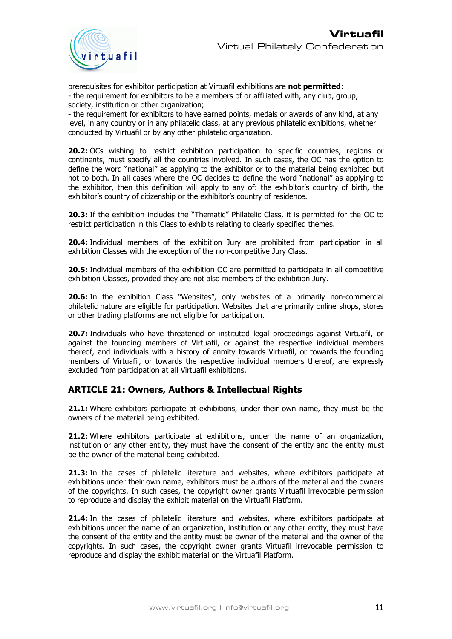

prerequisites for exhibitor participation at Virtuafil exhibitions are **not permitted**: - the requirement for exhibitors to be a members of or affiliated with, any club, group, society, institution or other organization;

- the requirement for exhibitors to have earned points, medals or awards of any kind, at any level, in any country or in any philatelic class, at any previous philatelic exhibitions, whether conducted by Virtuafil or by any other philatelic organization.

**20.2:** OCs wishing to restrict exhibition participation to specific countries, regions or continents, must specify all the countries involved. In such cases, the OC has the option to define the word "national" as applying to the exhibitor or to the material being exhibited but not to both. In all cases where the OC decides to define the word "national" as applying to the exhibitor, then this definition will apply to any of: the exhibitor's country of birth, the exhibitor's country of citizenship or the exhibitor's country of residence.

**20.3:** If the exhibition includes the "Thematic" Philatelic Class, it is permitted for the OC to restrict participation in this Class to exhibits relating to clearly specified themes.

**20.4:** Individual members of the exhibition Jury are prohibited from participation in all exhibition Classes with the exception of the non-competitive Jury Class.

**20.5:** Individual members of the exhibition OC are permitted to participate in all competitive exhibition Classes, provided they are not also members of the exhibition Jury.

**20.6:** In the exhibition Class "Websites", only websites of a primarily non-commercial philatelic nature are eligible for participation. Websites that are primarily online shops, stores or other trading platforms are not eligible for participation.

**20.7:** Individuals who have threatened or instituted legal proceedings against Virtuafil, or against the founding members of Virtuafil, or against the respective individual members thereof, and individuals with a history of enmity towards Virtuafil, or towards the founding members of Virtuafil, or towards the respective individual members thereof, are expressly excluded from participation at all Virtuafil exhibitions.

#### **ARTICLE 21: Owners, Authors & Intellectual Rights**

**21.1:** Where exhibitors participate at exhibitions, under their own name, they must be the owners of the material being exhibited.

**21.2:** Where exhibitors participate at exhibitions, under the name of an organization, institution or any other entity, they must have the consent of the entity and the entity must be the owner of the material being exhibited.

**21.3:** In the cases of philatelic literature and websites, where exhibitors participate at exhibitions under their own name, exhibitors must be authors of the material and the owners of the copyrights. In such cases, the copyright owner grants Virtuafil irrevocable permission to reproduce and display the exhibit material on the Virtuafil Platform.

**21.4:** In the cases of philatelic literature and websites, where exhibitors participate at exhibitions under the name of an organization, institution or any other entity, they must have the consent of the entity and the entity must be owner of the material and the owner of the copyrights. In such cases, the copyright owner grants Virtuafil irrevocable permission to reproduce and display the exhibit material on the Virtuafil Platform.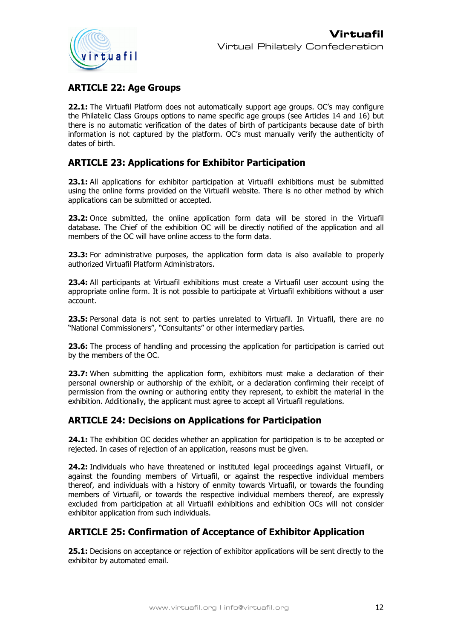

### **ARTICLE 22: Age Groups**

**22.1:** The Virtuafil Platform does not automatically support age groups. OC's may configure the Philatelic Class Groups options to name specific age groups (see Articles 14 and 16) but there is no automatic verification of the dates of birth of participants because date of birth information is not captured by the platform. OC's must manually verify the authenticity of dates of birth.

### **ARTICLE 23: Applications for Exhibitor Participation**

**23.1:** All applications for exhibitor participation at Virtuafil exhibitions must be submitted using the online forms provided on the Virtuafil website. There is no other method by which applications can be submitted or accepted.

**23.2:** Once submitted, the online application form data will be stored in the Virtuafil database. The Chief of the exhibition OC will be directly notified of the application and all members of the OC will have online access to the form data.

**23.3:** For administrative purposes, the application form data is also available to properly authorized Virtuafil Platform Administrators.

**23.4:** All participants at Virtuafil exhibitions must create a Virtuafil user account using the appropriate online form. It is not possible to participate at Virtuafil exhibitions without a user account.

**23.5:** Personal data is not sent to parties unrelated to Virtuafil. In Virtuafil, there are no "National Commissioners", "Consultants" or other intermediary parties.

**23.6:** The process of handling and processing the application for participation is carried out by the members of the OC.

**23.7:** When submitting the application form, exhibitors must make a declaration of their personal ownership or authorship of the exhibit, or a declaration confirming their receipt of permission from the owning or authoring entity they represent, to exhibit the material in the exhibition. Additionally, the applicant must agree to accept all Virtuafil regulations.

#### **ARTICLE 24: Decisions on Applications for Participation**

**24.1:** The exhibition OC decides whether an application for participation is to be accepted or rejected. In cases of rejection of an application, reasons must be given.

**24.2:** Individuals who have threatened or instituted legal proceedings against Virtuafil, or against the founding members of Virtuafil, or against the respective individual members thereof, and individuals with a history of enmity towards Virtuafil, or towards the founding members of Virtuafil, or towards the respective individual members thereof, are expressly excluded from participation at all Virtuafil exhibitions and exhibition OCs will not consider exhibitor application from such individuals.

#### **ARTICLE 25: Confirmation of Acceptance of Exhibitor Application**

**25.1:** Decisions on acceptance or rejection of exhibitor applications will be sent directly to the exhibitor by automated email.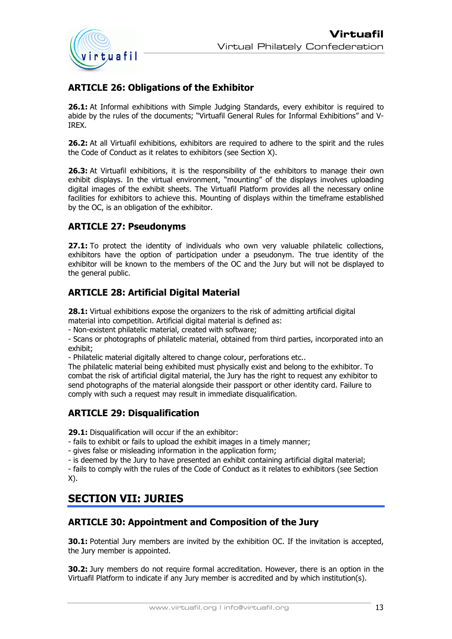

# **ARTICLE 26: Obligations of the Exhibitor**

**26.1:** At Informal exhibitions with Simple Judging Standards, every exhibitor is required to abide by the rules of the documents; "Virtuafil General Rules for Informal Exhibitions" and V-IREX.

**26.2:** At all Virtuafil exhibitions, exhibitors are required to adhere to the spirit and the rules the Code of Conduct as it relates to exhibitors (see Section X).

**26.3:** At Virtuafil exhibitions, it is the responsibility of the exhibitors to manage their own exhibit displays. In the virtual environment, "mounting" of the displays involves uploading digital images of the exhibit sheets. The Virtuafil Platform provides all the necessary online facilities for exhibitors to achieve this. Mounting of displays within the timeframe established by the OC, is an obligation of the exhibitor.

### **ARTICLE 27: Pseudonyms**

27.1: To protect the identity of individuals who own very valuable philatelic collections, exhibitors have the option of participation under a pseudonym. The true identity of the exhibitor will be known to the members of the OC and the Jury but will not be displayed to the general public.

### **ARTICLE 28: Artificial Digital Material**

**28.1:** Virtual exhibitions expose the organizers to the risk of admitting artificial digital material into competition. Artificial digital material is defined as:

- Non-existent philatelic material, created with software;

- Scans or photographs of philatelic material, obtained from third parties, incorporated into an exhibit;

- Philatelic material digitally altered to change colour, perforations etc..

The philatelic material being exhibited must physically exist and belong to the exhibitor. To combat the risk of artificial digital material, the Jury has the right to request any exhibitor to send photographs of the material alongside their passport or other identity card. Failure to comply with such a request may result in immediate disqualification.

### **ARTICLE 29: Disqualification**

**29.1:** Disqualification will occur if the an exhibitor:

- fails to exhibit or fails to upload the exhibit images in a timely manner;

- gives false or misleading information in the application form;

- is deemed by the Jury to have presented an exhibit containing artificial digital material;

- fails to comply with the rules of the Code of Conduct as it relates to exhibitors (see Section X).

# **SECTION VII: JURIES**

### **ARTICLE 30: Appointment and Composition of the Jury**

**30.1:** Potential Jury members are invited by the exhibition OC. If the invitation is accepted, the Jury member is appointed.

**30.2:** Jury members do not require formal accreditation. However, there is an option in the Virtuafil Platform to indicate if any Jury member is accredited and by which institution(s).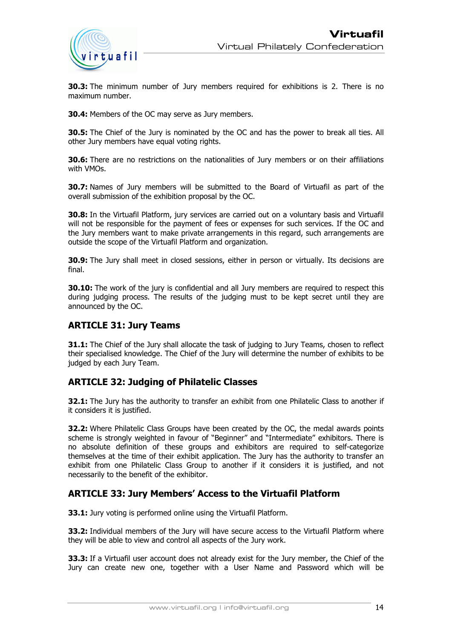

**30.3:** The minimum number of Jury members required for exhibitions is 2. There is no maximum number.

**30.4:** Members of the OC may serve as Jury members.

**30.5:** The Chief of the Jury is nominated by the OC and has the power to break all ties. All other Jury members have equal voting rights.

**30.6:** There are no restrictions on the nationalities of Jury members or on their affiliations with VMOs.

**30.7:** Names of Jury members will be submitted to the Board of Virtuafil as part of the overall submission of the exhibition proposal by the OC.

**30.8:** In the Virtuafil Platform, jury services are carried out on a voluntary basis and Virtuafil will not be responsible for the payment of fees or expenses for such services. If the OC and the Jury members want to make private arrangements in this regard, such arrangements are outside the scope of the Virtuafil Platform and organization.

**30.9:** The Jury shall meet in closed sessions, either in person or virtually. Its decisions are final.

**30.10:** The work of the jury is confidential and all Jury members are required to respect this during judging process. The results of the judging must to be kept secret until they are announced by the OC.

#### **ARTICLE 31: Jury Teams**

**31.1:** The Chief of the Jury shall allocate the task of judging to Jury Teams, chosen to reflect their specialised knowledge. The Chief of the Jury will determine the number of exhibits to be judged by each Jury Team.

#### **ARTICLE 32: Judging of Philatelic Classes**

**32.1:** The Jury has the authority to transfer an exhibit from one Philatelic Class to another if it considers it is justified.

**32.2:** Where Philatelic Class Groups have been created by the OC, the medal awards points scheme is strongly weighted in favour of "Beginner" and "Intermediate" exhibitors. There is no absolute definition of these groups and exhibitors are required to self-categorize themselves at the time of their exhibit application. The Jury has the authority to transfer an exhibit from one Philatelic Class Group to another if it considers it is justified, and not necessarily to the benefit of the exhibitor.

#### **ARTICLE 33: Jury Members' Access to the Virtuafil Platform**

**33.1:** Jury voting is performed online using the Virtuafil Platform.

**33.2:** Individual members of the Jury will have secure access to the Virtuafil Platform where they will be able to view and control all aspects of the Jury work.

**33.3:** If a Virtuafil user account does not already exist for the Jury member, the Chief of the Jury can create new one, together with a User Name and Password which will be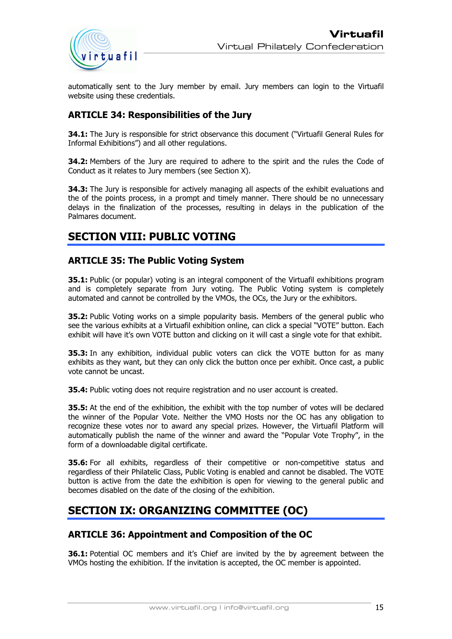

automatically sent to the Jury member by email. Jury members can login to the Virtuafil website using these credentials.

### **ARTICLE 34: Responsibilities of the Jury**

**34.1:** The Jury is responsible for strict observance this document ("Virtuafil General Rules for Informal Exhibitions") and all other regulations.

**34.2:** Members of the Jury are required to adhere to the spirit and the rules the Code of Conduct as it relates to Jury members (see Section X).

**34.3:** The Jury is responsible for actively managing all aspects of the exhibit evaluations and the of the points process, in a prompt and timely manner. There should be no unnecessary delays in the finalization of the processes, resulting in delays in the publication of the Palmares document.

# **SECTION VIII: PUBLIC VOTING**

#### **ARTICLE 35: The Public Voting System**

**35.1:** Public (or popular) voting is an integral component of the Virtuafil exhibitions program and is completely separate from Jury voting. The Public Voting system is completely automated and cannot be controlled by the VMOs, the OCs, the Jury or the exhibitors.

**35.2:** Public Voting works on a simple popularity basis. Members of the general public who see the various exhibits at a Virtuafil exhibition online, can click a special "VOTE" button. Each exhibit will have it's own VOTE button and clicking on it will cast a single vote for that exhibit.

**35.3:** In any exhibition, individual public voters can click the VOTE button for as many exhibits as they want, but they can only click the button once per exhibit. Once cast, a public vote cannot be uncast.

**35.4:** Public voting does not require registration and no user account is created.

**35.5:** At the end of the exhibition, the exhibit with the top number of votes will be declared the winner of the Popular Vote. Neither the VMO Hosts nor the OC has any obligation to recognize these votes nor to award any special prizes. However, the Virtuafil Platform will automatically publish the name of the winner and award the "Popular Vote Trophy", in the form of a downloadable digital certificate.

**35.6:** For all exhibits, regardless of their competitive or non-competitive status and regardless of their Philatelic Class, Public Voting is enabled and cannot be disabled. The VOTE button is active from the date the exhibition is open for viewing to the general public and becomes disabled on the date of the closing of the exhibition.

# **SECTION IX: ORGANIZING COMMITTEE (OC)**

#### **ARTICLE 36: Appointment and Composition of the OC**

**36.1:** Potential OC members and it's Chief are invited by the by agreement between the VMOs hosting the exhibition. If the invitation is accepted, the OC member is appointed.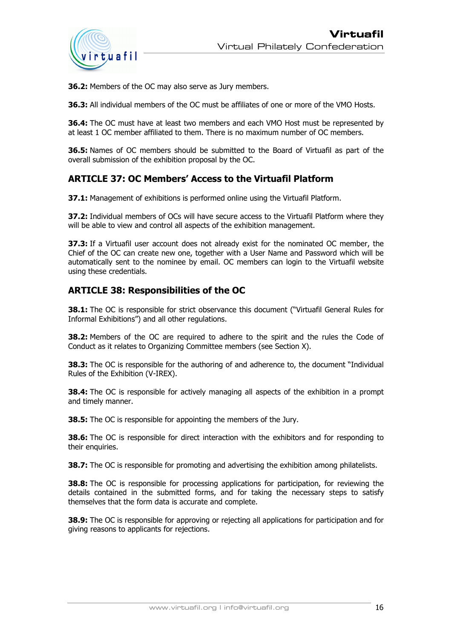

**36.2:** Members of the OC may also serve as Jury members.

**36.3:** All individual members of the OC must be affiliates of one or more of the VMO Hosts.

**36.4:** The OC must have at least two members and each VMO Host must be represented by at least 1 OC member affiliated to them. There is no maximum number of OC members.

**36.5:** Names of OC members should be submitted to the Board of Virtuafil as part of the overall submission of the exhibition proposal by the OC.

#### **ARTICLE 37: OC Members' Access to the Virtuafil Platform**

**37.1:** Management of exhibitions is performed online using the Virtuafil Platform.

**37.2:** Individual members of OCs will have secure access to the Virtuafil Platform where they will be able to view and control all aspects of the exhibition management.

**37.3:** If a Virtuafil user account does not already exist for the nominated OC member, the Chief of the OC can create new one, together with a User Name and Password which will be automatically sent to the nominee by email. OC members can login to the Virtuafil website using these credentials.

#### **ARTICLE 38: Responsibilities of the OC**

**38.1:** The OC is responsible for strict observance this document ("Virtuafil General Rules for Informal Exhibitions") and all other regulations.

**38.2:** Members of the OC are required to adhere to the spirit and the rules the Code of Conduct as it relates to Organizing Committee members (see Section X).

**38.3:** The OC is responsible for the authoring of and adherence to, the document "Individual Rules of the Exhibition (V-IREX).

**38.4:** The OC is responsible for actively managing all aspects of the exhibition in a prompt and timely manner.

**38.5:** The OC is responsible for appointing the members of the Jury.

**38.6:** The OC is responsible for direct interaction with the exhibitors and for responding to their enquiries.

**38.7:** The OC is responsible for promoting and advertising the exhibition among philatelists.

**38.8:** The OC is responsible for processing applications for participation, for reviewing the details contained in the submitted forms, and for taking the necessary steps to satisfy themselves that the form data is accurate and complete.

**38.9:** The OC is responsible for approving or rejecting all applications for participation and for giving reasons to applicants for rejections.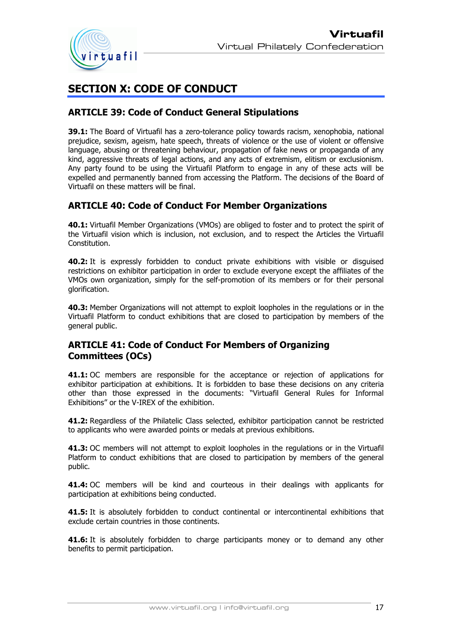

# **SECTION X: CODE OF CONDUCT**

#### **ARTICLE 39: Code of Conduct General Stipulations**

**39.1:** The Board of Virtuafil has a zero-tolerance policy towards racism, xenophobia, national prejudice, sexism, ageism, hate speech, threats of violence or the use of violent or offensive language, abusing or threatening behaviour, propagation of fake news or propaganda of any kind, aggressive threats of legal actions, and any acts of extremism, elitism or exclusionism. Any party found to be using the Virtuafil Platform to engage in any of these acts will be expelled and permanently banned from accessing the Platform. The decisions of the Board of Virtuafil on these matters will be final.

### **ARTICLE 40: Code of Conduct For Member Organizations**

**40.1:** Virtuafil Member Organizations (VMOs) are obliged to foster and to protect the spirit of the Virtuafil vision which is inclusion, not exclusion, and to respect the Articles the Virtuafil Constitution.

**40.2:** It is expressly forbidden to conduct private exhibitions with visible or disguised restrictions on exhibitor participation in order to exclude everyone except the affiliates of the VMOs own organization, simply for the self-promotion of its members or for their personal glorification.

**40.3:** Member Organizations will not attempt to exploit loopholes in the regulations or in the Virtuafil Platform to conduct exhibitions that are closed to participation by members of the general public.

### **ARTICLE 41: Code of Conduct For Members of Organizing Committees (OCs)**

**41.1:** OC members are responsible for the acceptance or rejection of applications for exhibitor participation at exhibitions. It is forbidden to base these decisions on any criteria other than those expressed in the documents: "Virtuafil General Rules for Informal Exhibitions" or the V-IREX of the exhibition.

**41.2:** Regardless of the Philatelic Class selected, exhibitor participation cannot be restricted to applicants who were awarded points or medals at previous exhibitions.

**41.3:** OC members will not attempt to exploit loopholes in the regulations or in the Virtuafil Platform to conduct exhibitions that are closed to participation by members of the general public.

**41.4:** OC members will be kind and courteous in their dealings with applicants for participation at exhibitions being conducted.

**41.5:** It is absolutely forbidden to conduct continental or intercontinental exhibitions that exclude certain countries in those continents.

**41.6:** It is absolutely forbidden to charge participants money or to demand any other benefits to permit participation.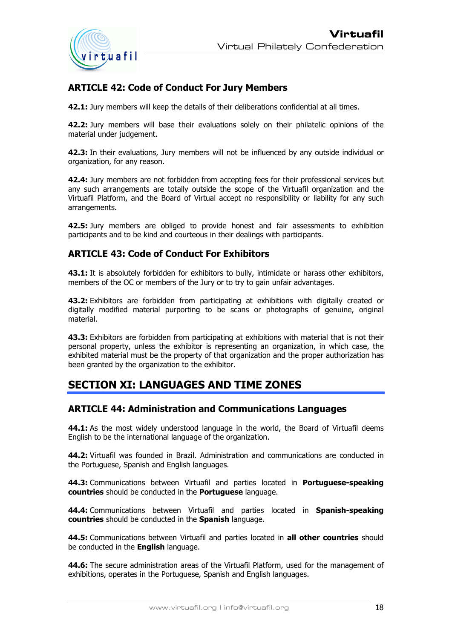

# **ARTICLE 42: Code of Conduct For Jury Members**

**42.1:** Jury members will keep the details of their deliberations confidential at all times.

**42.2:** Jury members will base their evaluations solely on their philatelic opinions of the material under judgement.

**42.3:** In their evaluations, Jury members will not be influenced by any outside individual or organization, for any reason.

**42.4:** Jury members are not forbidden from accepting fees for their professional services but any such arrangements are totally outside the scope of the Virtuafil organization and the Virtuafil Platform, and the Board of Virtual accept no responsibility or liability for any such arrangements.

**42.5:** Jury members are obliged to provide honest and fair assessments to exhibition participants and to be kind and courteous in their dealings with participants.

#### **ARTICLE 43: Code of Conduct For Exhibitors**

**43.1:** It is absolutely forbidden for exhibitors to bully, intimidate or harass other exhibitors, members of the OC or members of the Jury or to try to gain unfair advantages.

**43.2:** Exhibitors are forbidden from participating at exhibitions with digitally created or digitally modified material purporting to be scans or photographs of genuine, original material.

**43.3:** Exhibitors are forbidden from participating at exhibitions with material that is not their personal property, unless the exhibitor is representing an organization, in which case, the exhibited material must be the property of that organization and the proper authorization has been granted by the organization to the exhibitor.

### **SECTION XI: LANGUAGES AND TIME ZONES**

#### **ARTICLE 44: Administration and Communications Languages**

**44.1:** As the most widely understood language in the world, the Board of Virtuafil deems English to be the international language of the organization.

**44.2:** Virtuafil was founded in Brazil. Administration and communications are conducted in the Portuguese, Spanish and English languages.

**44.3:** Communications between Virtuafil and parties located in **Portuguese-speaking countries** should be conducted in the **Portuguese** language.

**44.4:** Communications between Virtuafil and parties located in **Spanish-speaking countries** should be conducted in the **Spanish** language.

**44.5:** Communications between Virtuafil and parties located in **all other countries** should be conducted in the **English** language.

**44.6:** The secure administration areas of the Virtuafil Platform, used for the management of exhibitions, operates in the Portuguese, Spanish and English languages.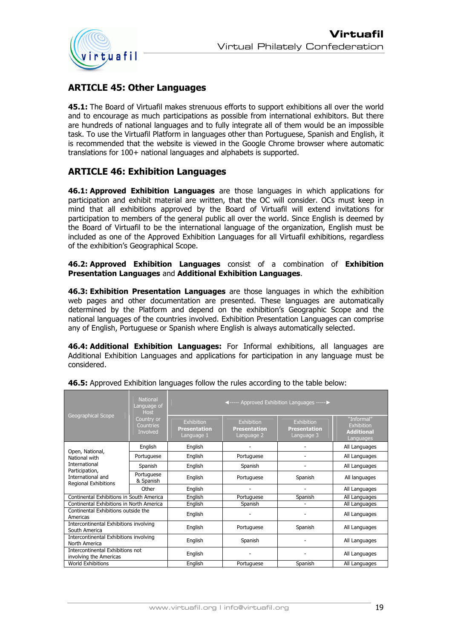

### **ARTICLE 45: Other Languages**

**45.1:** The Board of Virtuafil makes strenuous efforts to support exhibitions all over the world and to encourage as much participations as possible from international exhibitors. But there are hundreds of national languages and to fully integrate all of them would be an impossible task. To use the Virtuafil Platform in languages other than Portuguese, Spanish and English, it is recommended that the website is viewed in the Google Chrome browser where automatic translations for 100+ national languages and alphabets is supported.

### **ARTICLE 46: Exhibition Languages**

**46.1: Approved Exhibition Languages** are those languages in which applications for participation and exhibit material are written, that the OC will consider. OCs must keep in mind that all exhibitions approved by the Board of Virtuafil will extend invitations for participation to members of the general public all over the world. Since English is deemed by the Board of Virtuafil to be the international language of the organization, English must be included as one of the Approved Exhibition Languages for all Virtuafil exhibitions, regardless of the exhibition's Geographical Scope.

#### **46.2: Approved Exhibition Languages** consist of a combination of **Exhibition Presentation Languages** and **Additional Exhibition Languages**.

**46.3: Exhibition Presentation Languages** are those languages in which the exhibition web pages and other documentation are presented. These languages are automatically determined by the Platform and depend on the exhibition's Geographic Scope and the national languages of the countries involved. Exhibition Presentation Languages can comprise any of English, Portuguese or Spanish where English is always automatically selected.

**46.4: Additional Exhibition Languages:** For Informal exhibitions, all languages are Additional Exhibition Languages and applications for participation in any language must be considered.

| <b>Geographical Scope</b>                                   | <b>National</b><br>Language of<br><b>Host</b><br>Country or<br>Countries<br>Involved | ◀----- Approved Exhibition Languages ----- ▶    |                                                 |                                                 |                                                            |
|-------------------------------------------------------------|--------------------------------------------------------------------------------------|-------------------------------------------------|-------------------------------------------------|-------------------------------------------------|------------------------------------------------------------|
|                                                             |                                                                                      | Exhibition<br><b>Presentation</b><br>Language 1 | Exhibition<br><b>Presentation</b><br>Language 2 | Exhibition<br><b>Presentation</b><br>Language 3 | "Informal"<br>Exhibition<br><b>Additional</b><br>Languages |
|                                                             | English                                                                              | English                                         |                                                 |                                                 | All Languages                                              |
| Open, National,<br>National with                            | Portuguese                                                                           | English                                         | Portuguese                                      |                                                 | All Languages                                              |
| International                                               | Spanish                                                                              | English                                         | Spanish                                         |                                                 | All Languages                                              |
| Participation,<br>International and<br>Regional Exhibitions | Portuguese<br>& Spanish                                                              | English                                         | Portuguese                                      | Spanish                                         | All languages                                              |
|                                                             | Other                                                                                | English                                         |                                                 |                                                 | All Languages                                              |
| Continental Exhibitions in South America                    |                                                                                      | English                                         | Portuguese                                      | Spanish                                         | All Languages                                              |
| Continental Exhibitions in North America                    |                                                                                      | English                                         | Spanish                                         |                                                 | All Languages                                              |
| Continental Exhibitions outside the<br>Americas             |                                                                                      | English                                         |                                                 |                                                 | All Languages                                              |
| Intercontinental Exhibitions involving<br>South America     |                                                                                      | English                                         | Portuguese                                      | Spanish                                         | All Languages                                              |
| Intercontinental Exhibitions involving<br>North America     |                                                                                      | English                                         | Spanish                                         |                                                 | All Languages                                              |
| Intercontinental Exhibitions not<br>involving the Americas  |                                                                                      | English                                         |                                                 |                                                 | All Languages                                              |
| <b>World Exhibitions</b>                                    |                                                                                      | English                                         | Portuguese                                      | Spanish                                         | All Languages                                              |

#### **46.5:** Approved Exhibition languages follow the rules according to the table below: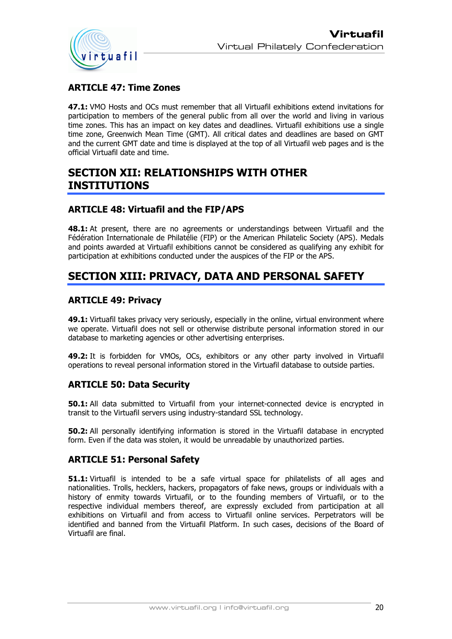

# **ARTICLE 47: Time Zones**

**47.1:** VMO Hosts and OCs must remember that all Virtuafil exhibitions extend invitations for participation to members of the general public from all over the world and living in various time zones. This has an impact on key dates and deadlines. Virtuafil exhibitions use a single time zone, Greenwich Mean Time (GMT). All critical dates and deadlines are based on GMT and the current GMT date and time is displayed at the top of all Virtuafil web pages and is the official Virtuafil date and time.

# **SECTION XII: RELATIONSHIPS WITH OTHER INSTITUTIONS**

### **ARTICLE 48: Virtuafil and the FIP/APS**

**48.1:** At present, there are no agreements or understandings between Virtuafil and the Fédération Internationale de Philatélie (FIP) or the American Philatelic Society (APS). Medals and points awarded at Virtuafil exhibitions cannot be considered as qualifying any exhibit for participation at exhibitions conducted under the auspices of the FIP or the APS.

# **SECTION XIII: PRIVACY, DATA AND PERSONAL SAFETY**

### **ARTICLE 49: Privacy**

**49.1:** Virtuafil takes privacy very seriously, especially in the online, virtual environment where we operate. Virtuafil does not sell or otherwise distribute personal information stored in our database to marketing agencies or other advertising enterprises.

**49.2:** It is forbidden for VMOs, OCs, exhibitors or any other party involved in Virtuafil operations to reveal personal information stored in the Virtuafil database to outside parties.

### **ARTICLE 50: Data Security**

**50.1:** All data submitted to Virtuafil from your internet-connected device is encrypted in transit to the Virtuafil servers using industry-standard SSL technology.

**50.2:** All personally identifying information is stored in the Virtuafil database in encrypted form. Even if the data was stolen, it would be unreadable by unauthorized parties.

### **ARTICLE 51: Personal Safety**

**51.1:** Virtuafil is intended to be a safe virtual space for philatelists of all ages and nationalities. Trolls, hecklers, hackers, propagators of fake news, groups or individuals with a history of enmity towards Virtuafil, or to the founding members of Virtuafil, or to the respective individual members thereof, are expressly excluded from participation at all exhibitions on Virtuafil and from access to Virtuafil online services. Perpetrators will be identified and banned from the Virtuafil Platform. In such cases, decisions of the Board of Virtuafil are final.